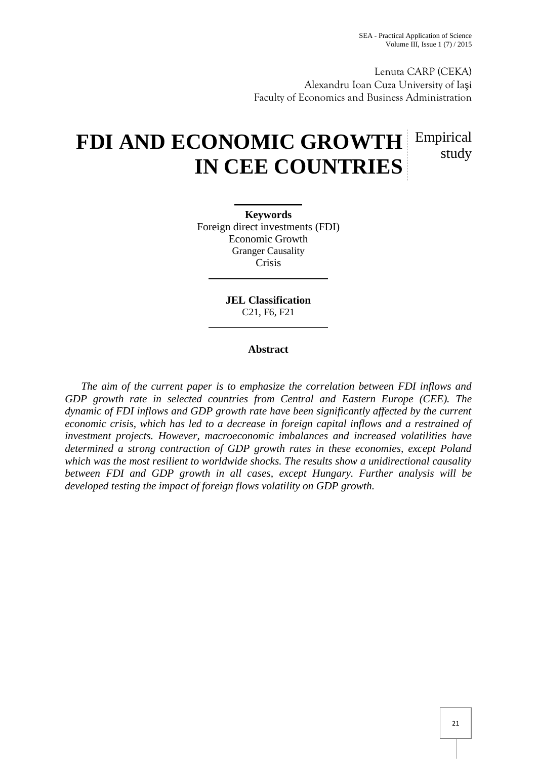Lenuta CARP (CEKA) Alexandru Ioan Cuza University of Ia i Faculty of Economics and Business Administration

# **FDI AND ECONOMIC GROWTH** Empirical **IN CEE COUNTRIES** study

**Keywords** Foreign direct investments (FDI) Economic Growth Granger Causality Crisis

> **JEL Classification** C21, F6, F21

## **Abstract**

*The aim of the current paper is to emphasize the correlation between FDI inflows and GDP growth rate in selected countries from Central and Eastern Europe (CEE). The dynamic of FDI inflows and GDP growth rate have been significantly affected by the current economic crisis, which has led to a decrease in foreign capital inflows and a restrained of investment projects. However, macroeconomic imbalances and increased volatilities have determined a strong contraction of GDP growth rates in these economies, except Poland which was the most resilient to worldwide shocks. The results show a unidirectional causality between FDI and GDP growth in all cases, except Hungary. Further analysis will be developed testing the impact of foreign flows volatility on GDP growth.*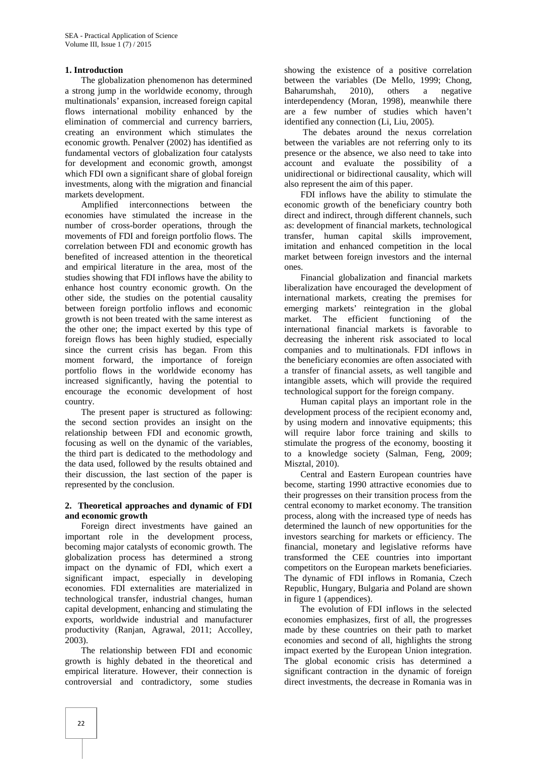#### **1. Introduction**

The globalization phenomenon has determined a strong jump in the worldwide economy, through multinationals' expansion, increased foreign capital flows international mobility enhanced by the elimination of commercial and currency barriers, creating an environment which stimulates the economic growth. Penalver (2002) has identified as fundamental vectors of globalization four catalysts for development and economic growth, amongst which FDI own a significant share of global foreign investments, along with the migration and financial markets development.

Amplified interconnections between the economies have stimulated the increase in the number of cross-border operations, through the movements of FDI and foreign portfolio flows. The correlation between FDI and economic growth has benefited of increased attention in the theoretical and empirical literature in the area, most of the studies showing that FDI inflows have the ability to enhance host country economic growth. On the other side, the studies on the potential causality between foreign portfolio inflows and economic growth is not been treated with the same interest as the other one; the impact exerted by this type of foreign flows has been highly studied, especially since the current crisis has began. From this moment forward, the importance of foreign portfolio flows in the worldwide economy has increased significantly, having the potential to encourage the economic development of host country.

The present paper is structured as following: the second section provides an insight on the relationship between FDI and economic growth, focusing as well on the dynamic of the variables, the third part is dedicated to the methodology and the data used, followed by the results obtained and their discussion, the last section of the paper is represented by the conclusion.

#### **2. Theoretical approaches and dynamic of FDI and economic growth**

Foreign direct investments have gained an important role in the development process, becoming major catalysts of economic growth. The globalization process has determined a strong impact on the dynamic of FDI, which exert a significant impact, especially in developing economies. FDI externalities are materialized in technological transfer, industrial changes, human capital development, enhancing and stimulating the exports, worldwide industrial and manufacturer productivity (Ranjan, Agrawal, 2011; Accolley, 2003).

The relationship between FDI and economic growth is highly debated in the theoretical and empirical literature. However, their connection is controversial and contradictory, some studies

showing the existence of a positive correlation between the variables (De Mello, 1999; Chong, Baharumshah, 2010), others a negative interdependency (Moran, 1998), meanwhile there are a few number of studies which haven't identified any connection (Li, Liu, 2005).

The debates around the nexus correlation between the variables are not referring only to its presence or the absence, we also need to take into account and evaluate the possibility of a unidirectional or bidirectional causality, which will also represent the aim of this paper.

FDI inflows have the ability to stimulate the economic growth of the beneficiary country both direct and indirect, through different channels, such as: development of financial markets, technological transfer, human capital skills improvement, imitation and enhanced competition in the local market between foreign investors and the internal ones.

Financial globalization and financial markets liberalization have encouraged the development of international markets, creating the premises for emerging markets' reintegration in the global market. The efficient functioning of the international financial markets is favorable to decreasing the inherent risk associated to local companies and to multinationals. FDI inflows in the beneficiary economies are often associated with a transfer of financial assets, as well tangible and intangible assets, which will provide the required technological support for the foreign company.

Human capital plays an important role in the development process of the recipient economy and, by using modern and innovative equipments; this will require labor force training and skills to stimulate the progress of the economy, boosting it to a knowledge society (Salman, Feng, 2009; Misztal, 2010).

Central and Eastern European countries have become, starting 1990 attractive economies due to their progresses on their transition process from the central economy to market economy. The transition process, along with the increased type of needs has determined the launch of new opportunities for the investors searching for markets or efficiency. The financial, monetary and legislative reforms have transformed the CEE countries into important competitors on the European markets beneficiaries. The dynamic of FDI inflows in Romania, Czech Republic, Hungary, Bulgaria and Poland are shown in figure 1 (appendices).

The evolution of FDI inflows in the selected economies emphasizes, first of all, the progresses made by these countries on their path to market economies and second of all, highlights the strong impact exerted by the European Union integration. The global economic crisis has determined a significant contraction in the dynamic of foreign direct investments, the decrease in Romania was in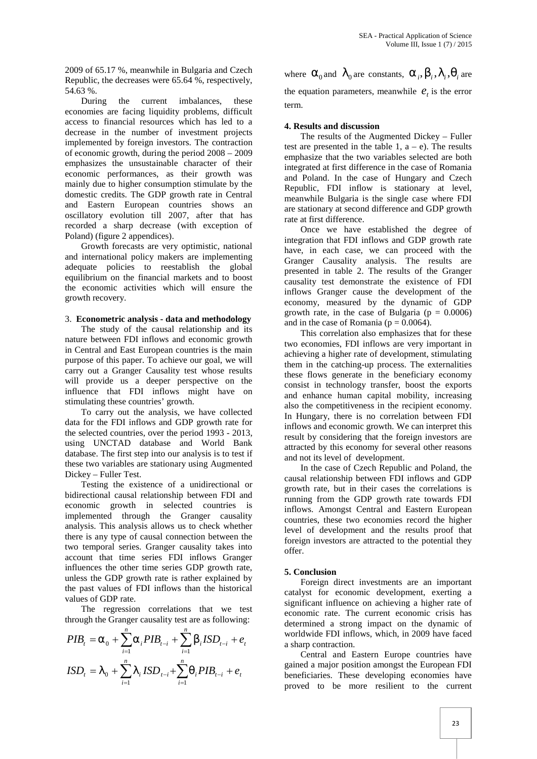2009 of 65.17 %, meanwhile in Bulgaria and Czech Republic, the decreases were 65.64 %, respectively, 54.63 %.

During the current imbalances, these economies are facing liquidity problems, difficult access to financial resources which has led to a decrease in the number of investment projects implemented by foreign investors. The contraction of economic growth, during the period 2008 – 2009 emphasizes the unsustainable character of their economic performances, as their growth was mainly due to higher consumption stimulate by the domestic credits. The GDP growth rate in Central and Eastern European countries shows an oscillatory evolution till 2007, after that has recorded a sharp decrease (with exception of Poland) (figure 2 appendices).

Growth forecasts are very optimistic, national and international policy makers are implementing adequate policies to reestablish the global equilibrium on the financial markets and to boost the economic activities which will ensure the growth recovery.

#### 3. **Econometric analysis - data and methodology**

The study of the causal relationship and its nature between FDI inflows and economic growth in Central and East European countries is the main purpose of this paper. To achieve our goal, we will carry out a Granger Causality test whose results will provide us a deeper perspective on the influence that FDI inflows might have on stimulating these countries' growth.

To carry out the analysis, we have collected data for the FDI inflows and GDP growth rate for the selected countries, over the period 1993 - 2013, using UNCTAD database and World Bank database. The first step into our analysis is to test if these two variables are stationary using Augmented Dickey – Fuller Test.

Testing the existence of a unidirectional or bidirectional causal relationship between FDI and economic growth in selected countries is implemented through the Granger causality analysis. This analysis allows us to check whether there is any type of causal connection between the two temporal series. Granger causality takes into account that time series FDI inflows Granger influences the other time series GDP growth rate, unless the GDP growth rate is rather explained by the past values of FDI inflows than the historical values of GDP rate.

The regression correlations that we test through the Granger causality test are as following:

$$
PIB_{t} = \Gamma_{0} + \sum_{i=1}^{n} \Gamma_{i} PIB_{t-i} + \sum_{i=1}^{n} \mathbf{S}_{i} ISD_{t-i} + e_{t}
$$
\nworldwide FDI inflows, which, in 2009 have faced a sharp contraction.

\n1SD<sub>t</sub> =  $\}_{0} + \sum_{i=1}^{n} \frac{1}{i} ISD_{t-i} + \sum_{i=1}^{n} \frac{1}{i} PIB_{t-i} + e_{t}$ 

\n1SD<sub>t</sub> =  $\}_{0} + \sum_{i=1}^{n} \frac{1}{i} ISD_{t-i} + \sum_{i=1}^{n} \frac{1}{i} PIB_{t-i} + e_{t}$ 

\n1 SD<sub>t</sub> =  $\}_{0} + \sum_{i=1}^{n} \frac{1}{i} ISD_{t-i} + \sum_{i=1}^{n} \frac{1}{i} PIB_{t-i} + e_{t}$ 

\n1 SD<sub>t</sub> =  $\}_{0} + \sum_{i=1}^{n} \frac{1}{i} ISD_{t-i} + \sum_{i=1}^{n} \frac{1}{i} ISD_{t-i} + e_{t}$ 

\n1 SD<sub>t</sub> =  $\}_{0} + \sum_{i=1}^{n} \frac{1}{i} ISD_{t-i} + \sum_{i=1}^{n} \frac{1}{i} ISD_{t-i} + e_{t}$ 

where  $\Gamma_0$  and  $\}_0$  are constants,  $\Gamma_i$ ,  $S_i$ ,  $\}_i$ ,  $\pi_i$  are the equation parameters, meanwhile  $e_t$  is the error term.

#### **4. Results and discussion**

The results of the Augmented Dickey – Fuller test are presented in the table 1,  $a - e$ ). The results emphasize that the two variables selected are both integrated at first difference in the case of Romania and Poland. In the case of Hungary and Czech Republic, FDI inflow is stationary at level, meanwhile Bulgaria is the single case where FDI are stationary at second difference and GDP growth rate at first difference.

Once we have established the degree of integration that FDI inflows and GDP growth rate have, in each case, we can proceed with the Granger Causality analysis. The results are presented in table 2. The results of the Granger causality test demonstrate the existence of FDI inflows Granger cause the development of the economy, measured by the dynamic of GDP growth rate, in the case of Bulgaria ( $p = 0.0006$ ) and in the case of Romania ( $p = 0.0064$ ).

This correlation also emphasizes that for these two economies, FDI inflows are very important in achieving a higher rate of development, stimulating them in the catching-up process. The externalities these flows generate in the beneficiary economy consist in technology transfer, boost the exports and enhance human capital mobility, increasing also the competitiveness in the recipient economy. In Hungary, there is no correlation between FDI inflows and economic growth. We can interpret this result by considering that the foreign investors are attracted by this economy for several other reasons and not its level of development.

In the case of Czech Republic and Poland, the causal relationship between FDI inflows and GDP growth rate, but in their cases the correlations is running from the GDP growth rate towards FDI inflows. Amongst Central and Eastern European countries, these two economies record the higher level of development and the results proof that foreign investors are attracted to the potential they offer.

## **5. Conclusion**

Foreign direct investments are an important catalyst for economic development, exerting a significant influence on achieving a higher rate of economic rate. The current economic crisis has determined a strong impact on the dynamic of

 $\text{ISD}_t = \frac{1}{20} + \sum_{i=1}^{t} \frac{1}{2} I S D_{t-i} + \sum_{i=1}^{t} r_i P I B_{t-i} + e_t$  gained a major position amongst the European FDI<br>beneficiaries. These developing economies have Central and Eastern Europe countries have gained a major position amongst the European FDI proved to be more resilient to the current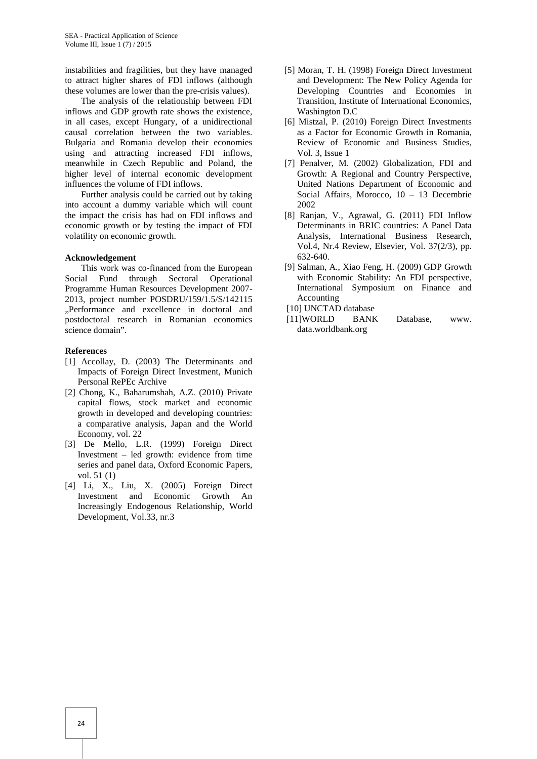instabilities and fragilities, but they have managed to attract higher shares of FDI inflows (although these volumes are lower than the pre-crisis values).

The analysis of the relationship between FDI inflows and GDP growth rate shows the existence, in all cases, except Hungary, of a unidirectional causal correlation between the two variables. Bulgaria and Romania develop their economies using and attracting increased FDI inflows, meanwhile in Czech Republic and Poland, the higher level of internal economic development influences the volume of FDI inflows.

Further analysis could be carried out by taking into account a dummy variable which will count the impact the crisis has had on FDI inflows and economic growth or by testing the impact of FDI volatility on economic growth.

#### **Acknowledgement**

This work was co-financed from the European Social Fund through Sectoral Operational Programme Human Resources Development 2007- 2013, project number POSDRU/159/1.5/S/142115 "Performance and excellence in doctoral and postdoctoral research in Romanian economics science domain".

#### **References**

- [1] Accollay, D. (2003) The Determinants and Impacts of Foreign Direct Investment, Munich Personal RePEc Archive
- [2] Chong, K., Baharumshah, A.Z. (2010) Private capital flows, stock market and economic growth in developed and developing countries: a comparative analysis, Japan and the World Economy, vol. 22
- [3] De Mello, L.R. (1999) Foreign Direct Investment – led growth: evidence from time series and panel data, Oxford Economic Papers, vol. 51 (1)
- [4] Li, X., Liu, X. (2005) Foreign Direct Investment and Economic Growth An Increasingly Endogenous Relationship, World Development, Vol.33, nr.3
- [5] Moran, T. H. (1998) Foreign Direct Investment and Development: The New Policy Agenda for Developing Countries and Economies in Transition, Institute of International Economics, Washington D.C
- [6] Mistzal, P. (2010) Foreign Direct Investments as a Factor for Economic Growth in Romania, Review of Economic and Business Studies, Vol. 3, Issue 1
- [7] Penalver, M. (2002) Globalization, FDI and Growth: A Regional and Country Perspective, United Nations Department of Economic and Social Affairs, Morocco, 10 – 13 Decembrie 2002
- [8] Ranjan, V., Agrawal, G. (2011) FDI Inflow Determinants in BRIC countries: A Panel Data Analysis, International Business Research, Vol.4, Nr.4 Review, Elsevier, Vol. 37(2/3), pp. 632-640.
- [9] Salman, A., Xiao Feng, H. (2009) GDP Growth with Economic Stability: An FDI perspective, International Symposium on Finance and Accounting
- [10] UNCTAD database
- [11]WORLD BANK Database, www. data.worldbank.org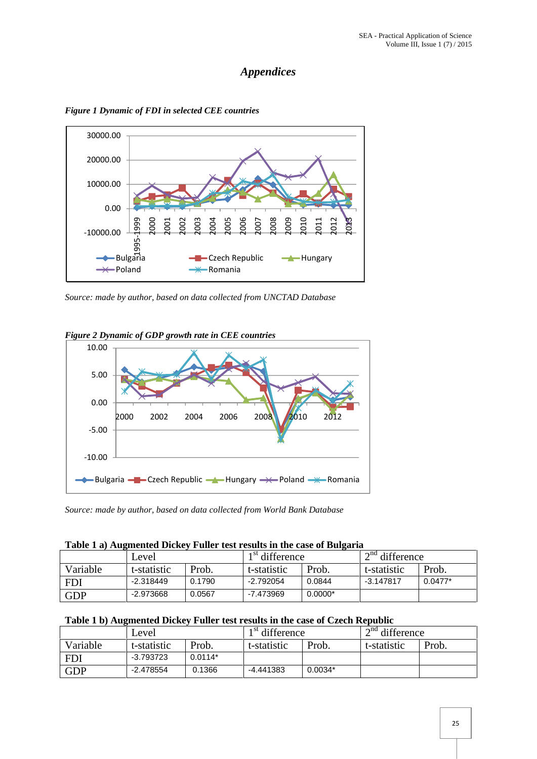## *Appendices*



*Figure 1 Dynamic of FDI in selected CEE countries*

*Source: made by author, based on data collected from UNCTAD Database*



*Figure 2 Dynamic of GDP growth rate in CEE countries*

*Source: made by author, based on data collected from World Bank Database*

|  | Table 1 a) Augmented Dickey Fuller test results in the case of Bulgaria |
|--|-------------------------------------------------------------------------|
|--|-------------------------------------------------------------------------|

|            | Level.      |        | 1 <sup>st</sup> difference |           | $2nd$ difference |           |
|------------|-------------|--------|----------------------------|-----------|------------------|-----------|
| Variable   | t-statistic | Prob.  | t-statistic                | Prob.     | t-statistic      | Prob.     |
| <b>FDI</b> | $-2.318449$ | 0.1790 | -2.792054                  | 0.0844    | $-3.147817$      | $0.0477*$ |
| <b>GDP</b> | $-2.973668$ | 0.0567 | -7.473969                  | $0.0000*$ |                  |           |

## **Table 1 b) Augmented Dickey Fuller test results in the case of Czech Republic**

|            | Level       |           | 1 <sup>st</sup> difference |           | $2nd$ difference |       |
|------------|-------------|-----------|----------------------------|-----------|------------------|-------|
| Variable   | t-statistic | Prob.     | t-statistic                | Prob.     | t-statistic      | Prob. |
| <b>FDI</b> | -3.793723   | $0.0114*$ |                            |           |                  |       |
| <b>GDP</b> | -2.478554   | 0.1366    | -4.441383                  | $0.0034*$ |                  |       |